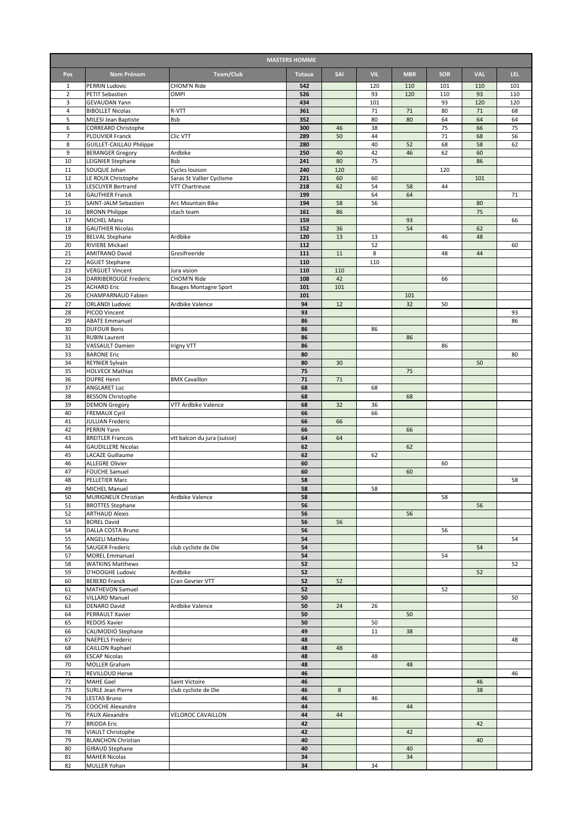| <b>MASTERS HOMME</b> |                                                        |                                             |               |           |            |            |            |            |          |  |
|----------------------|--------------------------------------------------------|---------------------------------------------|---------------|-----------|------------|------------|------------|------------|----------|--|
| Pos                  | Nom Prénom                                             | Team/Club                                   | <b>Totaux</b> | SAI       | <b>VIL</b> | <b>MBR</b> | <b>SOR</b> | <b>VAL</b> | LEL.     |  |
| 1                    | <b>PERRIN Ludovic</b>                                  | CHOM'N Ride                                 | 542           |           | 120        | 110        | 101        | 110        | 101      |  |
| $\overline{2}$       | PETIT Sebastien                                        | OMPI                                        | 526           |           | 93         | 120        | 110        | 93         | 110      |  |
| 3                    | GEVAUDAN Yann                                          |                                             | 434           |           | 101        |            | 93         | 120        | 120      |  |
| 4<br>5               | <b>BIBOLLET Nicolas</b><br><b>MILESI Jean Baptiste</b> | R-VTT<br>Bsb                                | 361<br>352    |           | 71<br>80   | 71<br>80   | 80<br>64   | 71<br>64   | 68<br>64 |  |
| 6                    | <b>CORREARD Christophe</b>                             |                                             | 300           | 46        | 38         |            | 75         | 66         | 75       |  |
| $\overline{7}$       | PLOUVIER Franck                                        | Clic VTT                                    | 289           | 50        | 44         |            | 71         | 68         | 56       |  |
| 8<br>9               | <b>GUILLET-CAILLAU Philippe</b>                        | Ardbike                                     | 280<br>250    | 40        | 40<br>42   | 52<br>46   | 68<br>62   | 58<br>60   | 62       |  |
| 10                   | <b>BERANGER Gregory</b><br>LEIGNIER Stephane           | Bsb                                         | 241           | 80        | 75         |            |            | 86         |          |  |
| 11                   | SOUQUE Johan                                           | Cycles louison                              | 240           | 120       |            |            | 120        |            |          |  |
| 12                   | LE ROUX Christophe                                     | Saras St Vallier Cyclisme                   | 221           | 60        | 60         |            |            | 101        |          |  |
| 13<br>14             | <b>LESCUYER Bertrand</b>                               | <b>VTT Chartreuse</b>                       | 218<br>199    | 62        | 54<br>64   | 58<br>64   | 44         |            | 71       |  |
| 15                   | <b>GAUTHIER Franck</b><br>SAINT-JALM Sebastien         | Arc Mountain Bike                           | 194           | 58        | 56         |            |            | 80         |          |  |
| 16                   | <b>BRONN Philippe</b>                                  | stach team                                  | 161           | 86        |            |            |            | 75         |          |  |
| 17                   | MICHEL Manu                                            |                                             | 159           |           |            | 93         |            |            | 66       |  |
| 18                   | <b>GAUTHIER Nicolas</b>                                |                                             | 152           | 36        |            | 54         |            | 62         |          |  |
| 19<br>20             | <b>BELVAL Stephane</b><br><b>RIVIERE Mickael</b>       | Ardbike                                     | 120<br>112    | 13        | 13<br>52   |            | 46         | 48         | 60       |  |
| 21                   | <b>AMITRANO David</b>                                  | Gresifreeride                               | 111           | 11        | 8          |            | 48         | 44         |          |  |
| 22                   | <b>AGUET Stephane</b>                                  |                                             | 110           |           | 110        |            |            |            |          |  |
| 23                   | <b>VERGUET Vincent</b>                                 | Jura vision                                 | 110           | 110       |            |            |            |            |          |  |
| 24<br>25             | DARRIBEROUGE Frederic<br><b>ACHARD Eric</b>            | CHOM'N Ride<br><b>Bauges Montagne Sport</b> | 108<br>101    | 42<br>101 |            |            | 66         |            |          |  |
| 26                   | CHAMPARNAUD Fabien                                     |                                             | 101           |           |            | 101        |            |            |          |  |
| 27                   | <b>ORLANDI Ludovic</b>                                 | Ardbike Valence                             | 94            | 12        |            | 32         | 50         |            |          |  |
| 28                   | PICOD Vincent                                          |                                             | 93            |           |            |            |            |            | 93       |  |
| 29                   | <b>ABATE Emmanuel</b>                                  |                                             | 86            |           |            |            |            |            | 86       |  |
| 30<br>31             | <b>DUFOUR Boris</b><br><b>RUBIN Laurent</b>            |                                             | 86<br>86      |           | 86         | 86         |            |            |          |  |
| 32                   | VASSAULT Damien                                        | <b>Irigny VTT</b>                           | 86            |           |            |            | 86         |            |          |  |
| 33                   | <b>BARONE Eric</b>                                     |                                             | 80            |           |            |            |            |            | 80       |  |
| 34                   | <b>REYNIER Sylvain</b>                                 |                                             | 80            | 30        |            |            |            | 50         |          |  |
| 35                   | <b>HOLVECK Mathias</b>                                 |                                             | 75<br>71      |           |            | 75         |            |            |          |  |
| 36<br>37             | <b>DUPRE Henri</b><br>ANGLARET Luc                     | <b>BMX Cavaillon</b>                        | 68            | 71        | 68         |            |            |            |          |  |
| 38                   | <b>BESSON Christophe</b>                               |                                             | 68            |           |            | 68         |            |            |          |  |
| 39                   | <b>DEMON Gregory</b>                                   | VTT Ardbike Valence                         | 68            | 32        | 36         |            |            |            |          |  |
| 40                   | <b>FREMAUX Cyril</b>                                   |                                             | 66            |           | 66         |            |            |            |          |  |
| 41<br>42             | <b>JULLIAN Frederic</b><br>PERRIN Yann                 |                                             | 66<br>66      | 66        |            | 66         |            |            |          |  |
| 43                   | <b>BREITLER Francois</b>                               | vtt balcon du jura (suisse)                 | 64            | 64        |            |            |            |            |          |  |
| 44                   | <b>GAUDILLERE Nicolas</b>                              |                                             | 62            |           |            | 62         |            |            |          |  |
| 45                   | <b>LACAZE Guillaume</b>                                |                                             | 62            |           | 62         |            |            |            |          |  |
| 46<br>47             | <b>ALLEGRE Olivier</b><br><b>FOUCHE Samuel</b>         |                                             | 60<br>60      |           |            | 60         | 60         |            |          |  |
| 48                   | <b>PELLETIER Marc</b>                                  |                                             | 58            |           |            |            |            |            | 58       |  |
| 49                   | <b>MICHEL Manuel</b>                                   |                                             | 58            |           | 58         |            |            |            |          |  |
| 50                   | MURIGNEUX Christian                                    | Ardbike Valence                             | 58            |           |            |            | 58         |            |          |  |
| 51                   | <b>BROTTES Stephane</b>                                |                                             | 56            |           |            |            |            | 56         |          |  |
| 52<br>53             | <b>ARTHAUD Alexis</b><br><b>BOREL David</b>            |                                             | 56<br>56      | 56        |            | 56         |            |            |          |  |
| 54                   | DALLA COSTA Bruno                                      |                                             | 56            |           |            |            | 56         |            |          |  |
| 55                   | ANGELI Mathieu                                         |                                             | 54            |           |            |            |            |            | 54       |  |
| 56                   | <b>SAUGER Frederic</b>                                 | club cycliste de Die                        | 54            |           |            |            |            | 54         |          |  |
| 57<br>58             | <b>MOREL Emmanuel</b><br><b>WATKINS Matthews</b>       |                                             | 54<br>52      |           |            |            | 54         |            | 52       |  |
| 59                   | D'HOOGHE Ludovic                                       | Ardbike                                     | 52            |           |            |            |            | 52         |          |  |
| 60                   | <b>BERERD Franck</b>                                   | Cran Gevrier VTT                            | 52            | 52        |            |            |            |            |          |  |
| 61                   | MATHEVON Samuel                                        |                                             | 52            |           |            |            | 52         |            |          |  |
| 62<br>63             | <b>VILLARD Manuel</b><br><b>DENARO David</b>           |                                             | 50<br>50      | 24        |            |            |            |            | 50       |  |
| 64                   | PERRAULT Xavier                                        | Ardbike Valence                             | 50            |           | 26         | 50         |            |            |          |  |
| 65                   | <b>REDOIS Xavier</b>                                   |                                             | 50            |           | 50         |            |            |            |          |  |
| 66                   | CALIMODIO Stephane                                     |                                             | 49            |           | 11         | 38         |            |            |          |  |
| 67                   | <b>NAEPELS Frederic</b>                                |                                             | 48            |           |            |            |            |            | 48       |  |
| 68<br>69             | CAILLON Raphael<br><b>ESCAP Nicolas</b>                |                                             | 48<br>48      | 48        | 48         |            |            |            |          |  |
| 70                   | <b>MOLLER Graham</b>                                   |                                             | 48            |           |            | 48         |            |            |          |  |
| 71                   | <b>REVILLOUD Herve</b>                                 |                                             | 46            |           |            |            |            |            | 46       |  |
| 72                   | MAHE Gael                                              | Saint Victoire                              | 46            |           |            |            |            | 46         |          |  |
| 73<br>74             | <b>SURLE Jean Pierre</b><br>LESTAS Bruno               | club cycliste de Die                        | 46<br>46      | 8         | 46         |            |            | 38         |          |  |
| 75                   | <b>COOCHE Alexandre</b>                                |                                             | 44            |           |            | 44         |            |            |          |  |
| 76                   | PALIX Alexandre                                        | VELOROC CAVAILLON                           | 44            | 44        |            |            |            |            |          |  |
| 77                   | <b>BRIDDA Eric</b>                                     |                                             | 42            |           |            |            |            | 42         |          |  |
| 78                   | VIAULT Christophe                                      |                                             | 42            |           |            | 42         |            |            |          |  |
| 79<br>80             | <b>BLANCHON Christian</b><br><b>GIRAUD Stephane</b>    |                                             | 40<br>40      |           |            | 40         |            | 40         |          |  |
| 81                   | <b>MAHER Nicolas</b>                                   |                                             | 34            |           |            | 34         |            |            |          |  |
| 82                   | <b>MULLER Yohan</b>                                    |                                             | 34            |           | 34         |            |            |            |          |  |